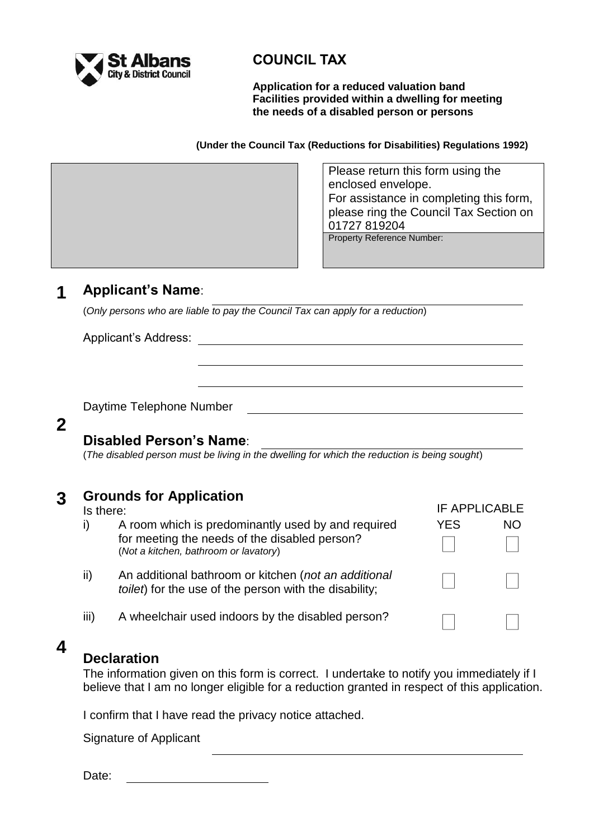

## **COUNCIL TAX**

**Application for a reduced valuation band Facilities provided within a dwelling for meeting the needs of a disabled person or persons**

**(Under the Council Tax (Reductions for Disabilities) Regulations 1992)**

Please return this form using the enclosed envelope. For assistance in completing this form, please ring the Council Tax Section on 01727 819204

IF APPLICABLE

YES NO

Property Reference Number:

## **1 Applicant's Name**:

(*Only persons who are liable to pay the Council Tax can apply for a reduction*)

Applicant's Address:

Daytime Telephone Number

## **2**

## **Disabled Person's Name**:

(*The disabled person must be living in the dwelling for which the reduction is being sought*)

# **3 Grounds for Application**

- i) A room which is predominantly used by and required for meeting the needs of the disabled person? (*Not a kitchen, bathroom or lavatory*)
- ii) An additional bathroom or kitchen (*not an additional toilet*) for the use of the person with the disability;
- iii) A wheelchair used indoors by the disabled person?

## **4**

## **Declaration**

The information given on this form is correct. I undertake to notify you immediately if I believe that I am no longer eligible for a reduction granted in respect of this application.

I confirm that I have read the privacy notice attached.

Signature of Applicant

Date: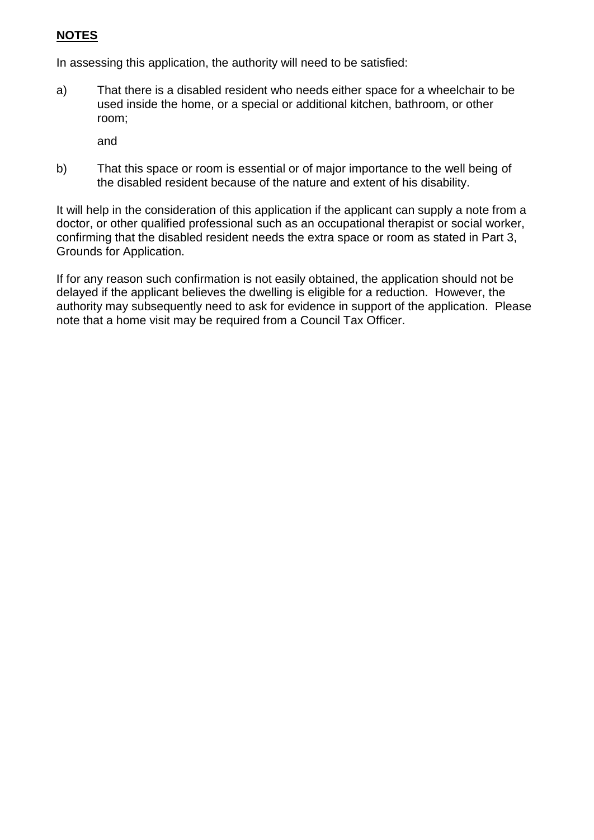### **NOTES**

In assessing this application, the authority will need to be satisfied:

a) That there is a disabled resident who needs either space for a wheelchair to be used inside the home, or a special or additional kitchen, bathroom, or other room;

and

b) That this space or room is essential or of major importance to the well being of the disabled resident because of the nature and extent of his disability.

It will help in the consideration of this application if the applicant can supply a note from a doctor, or other qualified professional such as an occupational therapist or social worker, confirming that the disabled resident needs the extra space or room as stated in Part 3, Grounds for Application.

If for any reason such confirmation is not easily obtained, the application should not be delayed if the applicant believes the dwelling is eligible for a reduction. However, the authority may subsequently need to ask for evidence in support of the application. Please note that a home visit may be required from a Council Tax Officer.